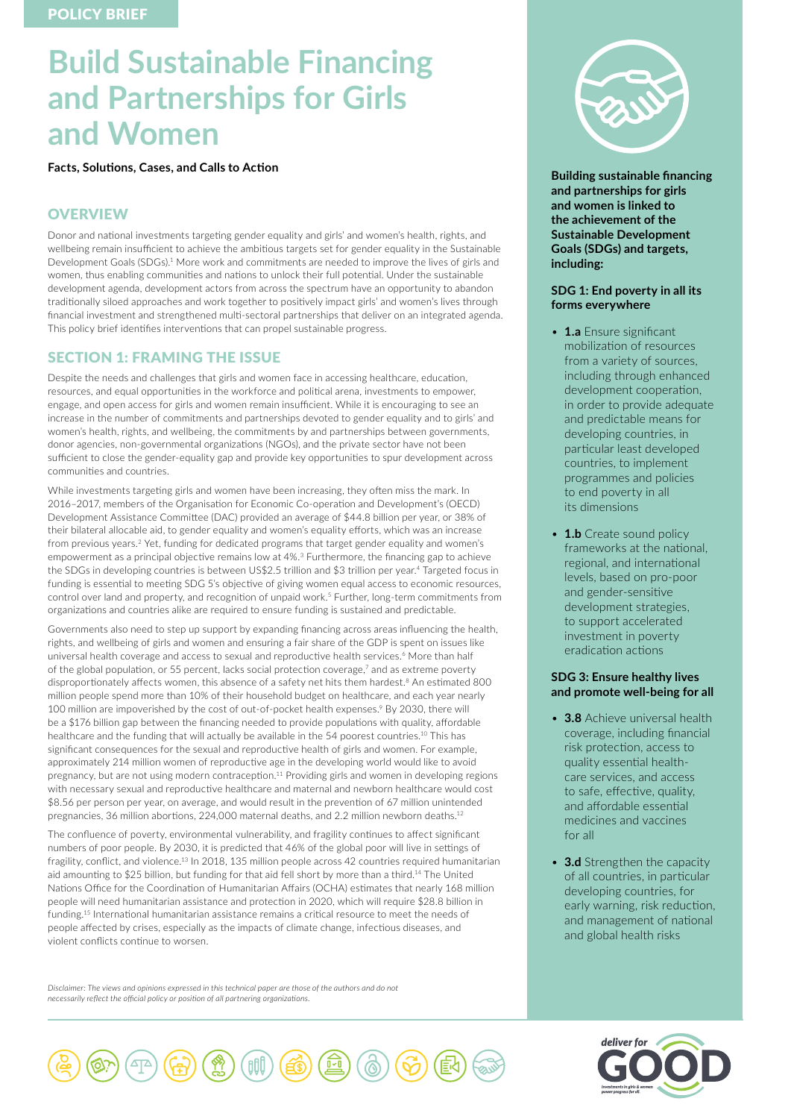# **Build Sustainable Financing and Partnerships for Girls and Women**

**Facts, Solutions, Cases, and Calls to Action**

# **OVERVIEW**

Donor and national investments targeting gender equality and girls' and women's health, rights, and wellbeing remain insufficient to achieve the ambitious targets set for gender equality in the Sustainable Development Goals (SDGs).<sup>1</sup> More work and commitments are needed to improve the lives of girls and women, thus enabling communities and nations to unlock their full potential. Under the sustainable development agenda, development actors from across the spectrum have an opportunity to abandon traditionally siloed approaches and work together to positively impact girls' and women's lives through financial investment and strengthened multi-sectoral partnerships that deliver on an integrated agenda. This policy brief identifies interventions that can propel sustainable progress.

# SECTION 1: FRAMING THE ISSUE

Despite the needs and challenges that girls and women face in accessing healthcare, education, resources, and equal opportunities in the workforce and political arena, investments to empower, engage, and open access for girls and women remain insufficient. While it is encouraging to see an increase in the number of commitments and partnerships devoted to gender equality and to girls' and women's health, rights, and wellbeing, the commitments by and partnerships between governments, donor agencies, non-governmental organizations (NGOs), and the private sector have not been sufficient to close the gender-equality gap and provide key opportunities to spur development across communities and countries.

While investments targeting girls and women have been increasing, they often miss the mark. In 2016–2017, members of the Organisation for Economic Co-operation and Development's (OECD) Development Assistance Committee (DAC) provided an average of \$44.8 billion per year, or 38% of their bilateral allocable aid, to gender equality and women's equality efforts, which was an increase from previous years.<sup>2</sup> Yet, funding for dedicated programs that target gender equality and women's empowerment as a principal objective remains low at 4%.3 Furthermore, the financing gap to achieve the SDGs in developing countries is between US\$2.5 trillion and \$3 trillion per year.<sup>4</sup> Targeted focus in funding is essential to meeting SDG 5's objective of giving women equal access to economic resources, control over land and property, and recognition of unpaid work.5 Further, long-term commitments from organizations and countries alike are required to ensure funding is sustained and predictable.

Governments also need to step up support by expanding financing across areas influencing the health, rights, and wellbeing of girls and women and ensuring a fair share of the GDP is spent on issues like universal health coverage and access to sexual and reproductive health services.<sup>6</sup> More than half of the global population, or 55 percent, lacks social protection coverage,<sup>7</sup> and as extreme poverty disproportionately affects women, this absence of a safety net hits them hardest.<sup>8</sup> An estimated 800 million people spend more than 10% of their household budget on healthcare, and each year nearly 100 million are impoverished by the cost of out-of-pocket health expenses.9 By 2030, there will be a \$176 billion gap between the financing needed to provide populations with quality, affordable healthcare and the funding that will actually be available in the 54 poorest countries.<sup>10</sup> This has significant consequences for the sexual and reproductive health of girls and women. For example, approximately 214 million women of reproductive age in the developing world would like to avoid pregnancy, but are not using modern contraception.11 Providing girls and women in developing regions with necessary sexual and reproductive healthcare and maternal and newborn healthcare would cost \$8.56 per person per year, on average, and would result in the prevention of 67 million unintended pregnancies, 36 million abortions, 224,000 maternal deaths, and 2.2 million newborn deaths.<sup>12</sup>

The confluence of poverty, environmental vulnerability, and fragility continues to affect significant numbers of poor people. By 2030, it is predicted that 46% of the global poor will live in settings of fragility, conflict, and violence.13 In 2018, 135 million people across 42 countries required humanitarian aid amounting to \$25 billion, but funding for that aid fell short by more than a third.14 The United Nations Office for the Coordination of Humanitarian Affairs (OCHA) estimates that nearly 168 million people will need humanitarian assistance and protection in 2020, which will require \$28.8 billion in funding.15 International humanitarian assistance remains a critical resource to meet the needs of people affected by crises, especially as the impacts of climate change, infectious diseases, and violent conflicts continue to worsen.

*Disclaimer: The views and opinions expressed in this technical paper are those of the authors and do not necessarily reflect the official policy or position of all partnering organizations.*



**Building sustainable financing and partnerships for girls and women is linked to the achievement of the Sustainable Development Goals (SDGs) and targets, including:** 

## **SDG 1: End poverty in all its forms everywhere**

- **1.a** Ensure significant mobilization of resources from a variety of sources, including through enhanced development cooperation, in order to provide adequate and predictable means for developing countries, in particular least developed countries, to implement programmes and policies to end poverty in all its dimensions
- **1.b** Create sound policy frameworks at the national, regional, and international levels, based on pro-poor and gender-sensitive development strategies, to support accelerated investment in poverty eradication actions

## **SDG 3: Ensure healthy lives and promote well-being for all**

- **3.8** Achieve universal health coverage, including financial risk protection, access to quality essential healthcare services, and access to safe, effective, quality, and affordable essential medicines and vaccines for all
- **3.d** Strengthen the capacity of all countries, in particular developing countries, for early warning, risk reduction, and management of national and global health risks



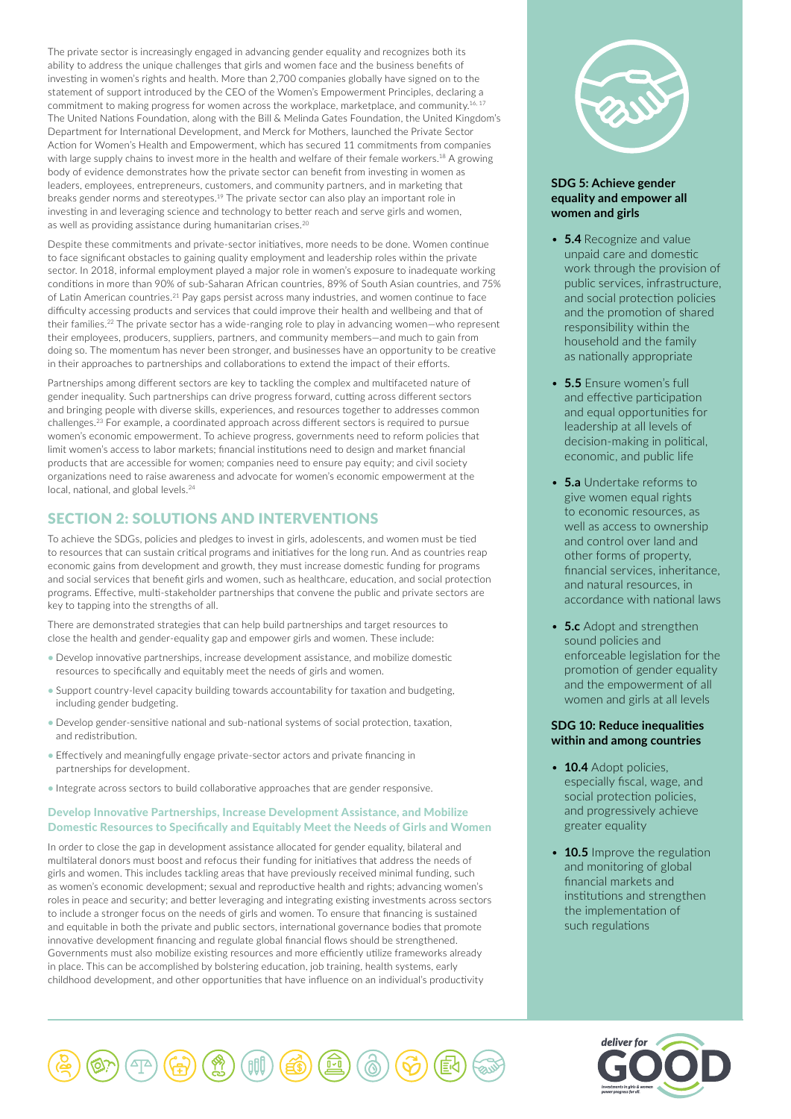The private sector is increasingly engaged in advancing gender equality and recognizes both its ability to address the unique challenges that girls and women face and the business benefits of investing in women's rights and health. More than 2,700 companies globally have signed on to the statement of support introduced by the CEO of the Women's Empowerment Principles, declaring a commitment to making progress for women across the workplace, marketplace, and community.<sup>16, 17</sup> The United Nations Foundation, along with the Bill & Melinda Gates Foundation, the United Kingdom's Department for International Development, and Merck for Mothers, launched the Private Sector Action for Women's Health and Empowerment, which has secured 11 commitments from companies with large supply chains to invest more in the health and welfare of their female workers.<sup>18</sup> A growing body of evidence demonstrates how the private sector can benefit from investing in women as leaders, employees, entrepreneurs, customers, and community partners, and in marketing that breaks gender norms and stereotypes.19 The private sector can also play an important role in investing in and leveraging science and technology to better reach and serve girls and women, as well as providing assistance during humanitarian crises.<sup>20</sup>

Despite these commitments and private-sector initiatives, more needs to be done. Women continue to face significant obstacles to gaining quality employment and leadership roles within the private sector. In 2018, informal employment played a major role in women's exposure to inadequate working conditions in more than 90% of sub-Saharan African countries, 89% of South Asian countries, and 75% of Latin American countries.<sup>21</sup> Pay gaps persist across many industries, and women continue to face difficulty accessing products and services that could improve their health and wellbeing and that of their families.<sup>22</sup> The private sector has a wide-ranging role to play in advancing women—who represent their employees, producers, suppliers, partners, and community members—and much to gain from doing so. The momentum has never been stronger, and businesses have an opportunity to be creative in their approaches to partnerships and collaborations to extend the impact of their efforts.

Partnerships among different sectors are key to tackling the complex and multifaceted nature of gender inequality. Such partnerships can drive progress forward, cutting across different sectors and bringing people with diverse skills, experiences, and resources together to addresses common challenges.23 For example, a coordinated approach across different sectors is required to pursue women's economic empowerment. To achieve progress, governments need to reform policies that limit women's access to labor markets; financial institutions need to design and market financial products that are accessible for women; companies need to ensure pay equity; and civil society organizations need to raise awareness and advocate for women's economic empowerment at the local, national, and global levels.<sup>24</sup>

# SECTION 2: SOLUTIONS AND INTERVENTIONS

To achieve the SDGs, policies and pledges to invest in girls, adolescents, and women must be tied to resources that can sustain critical programs and initiatives for the long run. And as countries reap economic gains from development and growth, they must increase domestic funding for programs and social services that benefit girls and women, such as healthcare, education, and social protection programs. Effective, multi-stakeholder partnerships that convene the public and private sectors are key to tapping into the strengths of all.

There are demonstrated strategies that can help build partnerships and target resources to close the health and gender-equality gap and empower girls and women. These include:

- Develop innovative partnerships, increase development assistance, and mobilize domestic resources to specifically and equitably meet the needs of girls and women.
- Support country-level capacity building towards accountability for taxation and budgeting, including gender budgeting.
- Develop gender-sensitive national and sub-national systems of social protection, taxation, and redistribution.
- Effectively and meaningfully engage private-sector actors and private financing in partnerships for development.
- Integrate across sectors to build collaborative approaches that are gender responsive.

## Develop Innovative Partnerships, Increase Development Assistance, and Mobilize Domestic Resources to Specifically and Equitably Meet the Needs of Girls and Women

In order to close the gap in development assistance allocated for gender equality, bilateral and multilateral donors must boost and refocus their funding for initiatives that address the needs of girls and women. This includes tackling areas that have previously received minimal funding, such as women's economic development; sexual and reproductive health and rights; advancing women's roles in peace and security; and better leveraging and integrating existing investments across sectors to include a stronger focus on the needs of girls and women. To ensure that financing is sustained and equitable in both the private and public sectors, international governance bodies that promote innovative development financing and regulate global financial flows should be strengthened. Governments must also mobilize existing resources and more efficiently utilize frameworks already in place. This can be accomplished by bolstering education, job training, health systems, early childhood development, and other opportunities that have influence on an individual's productivity



## **SDG 5: Achieve gender equality and empower all women and girls**

- **5.4** Recognize and value unpaid care and domestic work through the provision of public services, infrastructure, and social protection policies and the promotion of shared responsibility within the household and the family as nationally appropriate
- **5.5** Ensure women's full and effective participation and equal opportunities for leadership at all levels of decision-making in political, economic, and public life
- **5.a** Undertake reforms to give women equal rights to economic resources, as well as access to ownership and control over land and other forms of property, financial services, inheritance, and natural resources, in accordance with national laws
- **5.c** Adopt and strengthen sound policies and enforceable legislation for the promotion of gender equality and the empowerment of all women and girls at all levels

## **SDG 10: Reduce inequalities within and among countries**

- **10.4** Adopt policies, especially fiscal, wage, and social protection policies, and progressively achieve greater equality
- **10.5** Improve the regulation and monitoring of global financial markets and institutions and strengthen the implementation of such regulations



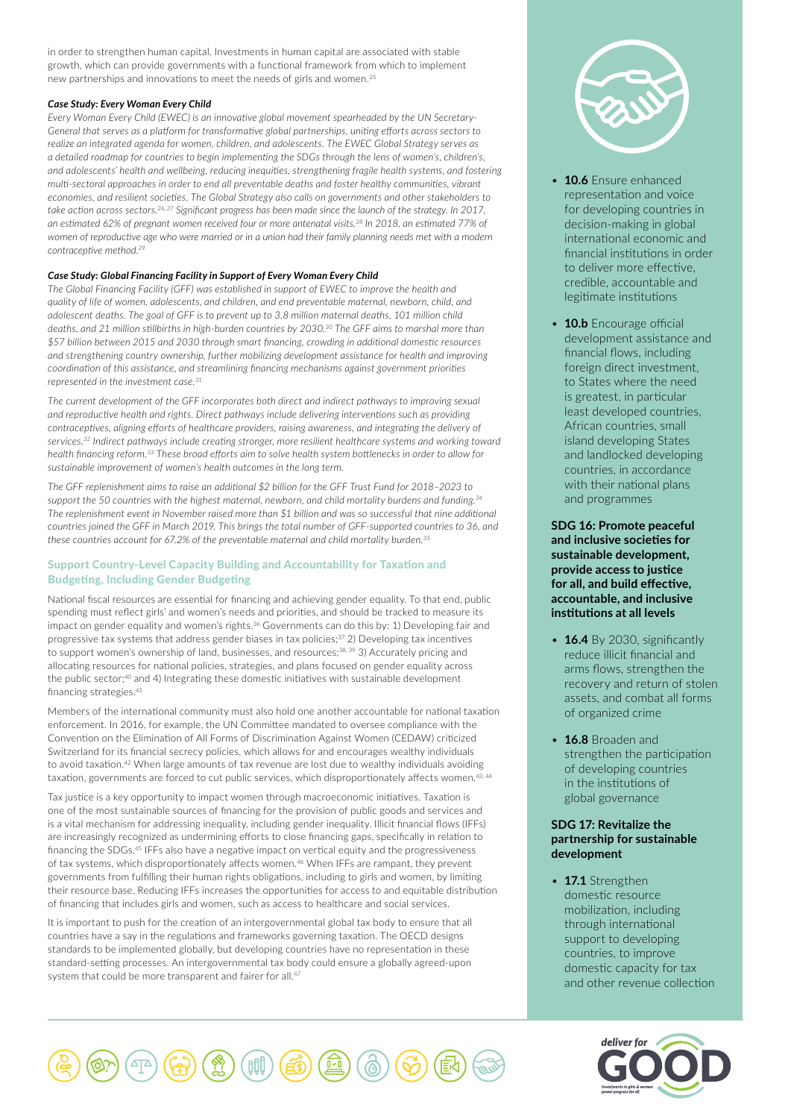in order to strengthen human capital. Investments in human capital are associated with stable growth, which can provide governments with a functional framework from which to implement new partnerships and innovations to meet the needs of girls and women.25

## *Case Study: Every Woman Every Child*

*Every Woman Every Child (EWEC) is an innovative global movement spearheaded by the UN Secretary-General that serves as a platform for transformative global partnerships, uniting efforts across sectors to realize an integrated agenda for women, children, and adolescents. The EWEC Global Strategy serves as a detailed roadmap for countries to begin implementing the SDGs through the lens of women's, children's,*  and adolescents' health and wellbeing, reducing inequities, strengthening fragile health systems, and fostering *multi-sectoral approaches in order to end all preventable deaths and foster healthy communities, vibrant economies, and resilient societies. The Global Strategy also calls on governments and other stakeholders to*  take action across sectors.<sup>26, 27</sup> Significant progress has been made since the launch of the strategy. In 2017, *an estimated 62% of pregnant women received four or more antenatal visits.28 In 2018, an estimated 77% of women of reproductive age who were married or in a union had their family planning needs met with a modern contraceptive method.<sup>29</sup>*

#### *Case Study: Global Financing Facility in Support of Every Woman Every Child*

*The Global Financing Facility (GFF) was established in support of EWEC to improve the health and quality of life of women, adolescents, and children, and end preventable maternal, newborn, child, and adolescent deaths. The goal of GFF is to prevent up to 3.8 million maternal deaths, 101 million child deaths, and 21 million stillbirths in high‐burden countries by 2030.30 The GFF aims to marshal more than \$57 billion between 2015 and 2030 through smart financing, crowding in additional domestic resources and strengthening country ownership, further mobilizing development assistance for health and improving coordination of this assistance, and streamlining financing mechanisms against government priorities represented in the investment case.31*

*The current development of the GFF incorporates both direct and indirect pathways to improving sexual and reproductive health and rights. Direct pathways include delivering interventions such as providing contraceptives, aligning efforts of healthcare providers, raising awareness, and integrating the delivery of services.32 Indirect pathways include creating stronger, more resilient healthcare systems and working toward health financing reform.33 These broad efforts aim to solve health system bottlenecks in order to allow for sustainable improvement of women's health outcomes in the long term.*

*The GFF replenishment aims to raise an additional \$2 billion for the GFF Trust Fund for 2018–2023 to support the 50 countries with the highest maternal, newborn, and child mortality burdens and funding.34 The replenishment event in November raised more than \$1 billion and was so successful that nine additional countries joined the GFF in March 2019. This brings the total number of GFF-supported countries to 36, and these countries account for 67.2% of the preventable maternal and child mortality burden.35*

## Support Country-Level Capacity Building and Accountability for Taxation and Budgeting, Including Gender Budgeting

National fiscal resources are essential for financing and achieving gender equality. To that end, public spending must reflect girls' and women's needs and priorities, and should be tracked to measure its impact on gender equality and women's rights.<sup>36</sup> Governments can do this by: 1) Developing fair and progressive tax systems that address gender biases in tax policies;<sup>37</sup> 2) Developing tax incentives to support women's ownership of land, businesses, and resources;<sup>38, 39</sup> 3) Accurately pricing and allocating resources for national policies, strategies, and plans focused on gender equality across the public sector;<sup>40</sup> and 4) Integrating these domestic initiatives with sustainable development financing strategies.<sup>41</sup>

Members of the international community must also hold one another accountable for national taxation enforcement. In 2016, for example, the UN Committee mandated to oversee compliance with the Convention on the Elimination of All Forms of Discrimination Against Women (CEDAW) criticized Switzerland for its financial secrecy policies, which allows for and encourages wealthy individuals to avoid taxation.42 When large amounts of tax revenue are lost due to wealthy individuals avoiding taxation, governments are forced to cut public services, which disproportionately affects women.<sup>43, 44</sup>

Tax justice is a key opportunity to impact women through macroeconomic initiatives. Taxation is one of the most sustainable sources of financing for the provision of public goods and services and is a vital mechanism for addressing inequality, including gender inequality. Illicit financial flows (IFFs) are increasingly recognized as undermining efforts to close financing gaps, specifically in relation to financing the SDGs.45 IFFs also have a negative impact on vertical equity and the progressiveness of tax systems, which disproportionately affects women.<sup>46</sup> When IFFs are rampant, they prevent governments from fulfilling their human rights obligations, including to girls and women, by limiting their resource base. Reducing IFFs increases the opportunities for access to and equitable distribution of financing that includes girls and women, such as access to healthcare and social services.

It is important to push for the creation of an intergovernmental global tax body to ensure that all countries have a say in the regulations and frameworks governing taxation. The OECD designs standards to be implemented globally, but developing countries have no representation in these standard-setting processes. An intergovernmental tax body could ensure a globally agreed-upon system that could be more transparent and fairer for all.<sup>47</sup>



- **10.6** Ensure enhanced representation and voice for developing countries in decision-making in global international economic and financial institutions in order to deliver more effective, credible, accountable and legitimate institutions
- **10.b** Encourage official development assistance and financial flows, including foreign direct investment, to States where the need is greatest, in particular least developed countries, African countries, small island developing States and landlocked developing countries, in accordance with their national plans and programmes

**SDG 16: Promote peaceful and inclusive societies for sustainable development, provide access to justice for all, and build effective, accountable, and inclusive institutions at all levels**

- **16.4** By 2030, significantly reduce illicit financial and arms flows, strengthen the recovery and return of stolen assets, and combat all forms of organized crime
- **16.8** Broaden and strengthen the participation of developing countries in the institutions of global governance

## **SDG 17: Revitalize the partnership for sustainable development**

• **17.1** Strengthen domestic resource mobilization, including through international support to developing countries, to improve domestic capacity for tax and other revenue collection



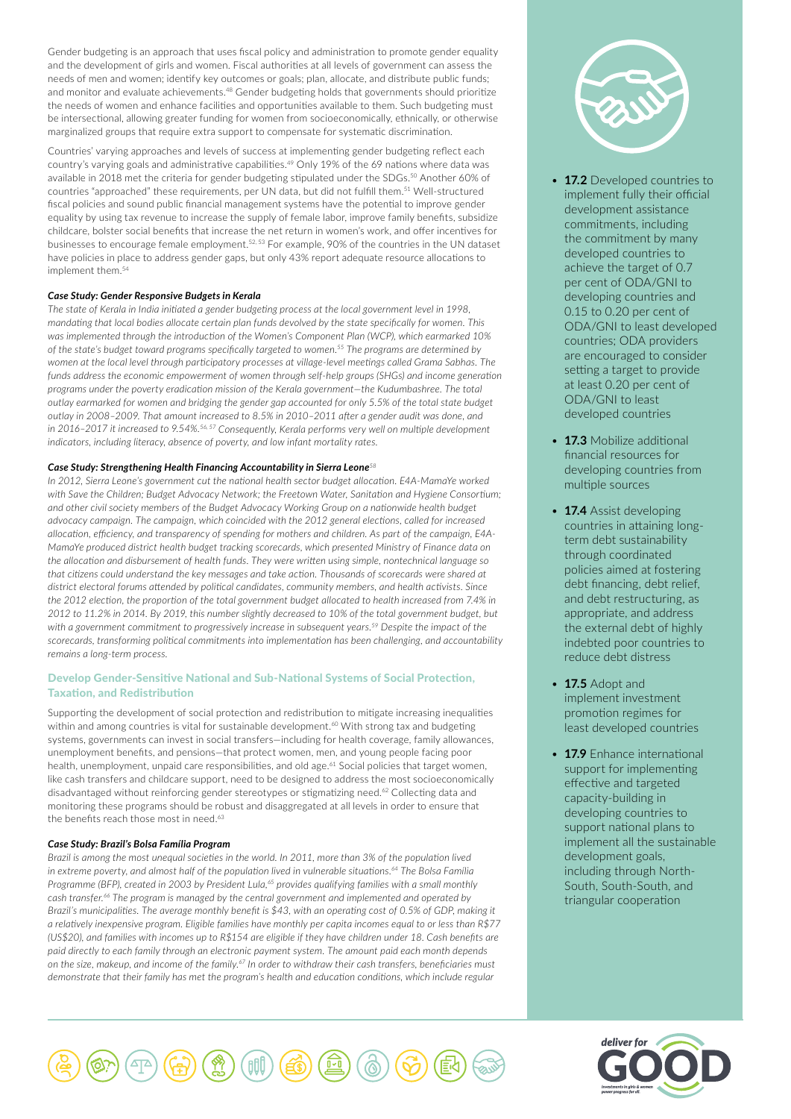Gender budgeting is an approach that uses fiscal policy and administration to promote gender equality and the development of girls and women. Fiscal authorities at all levels of government can assess the needs of men and women; identify key outcomes or goals; plan, allocate, and distribute public funds; and monitor and evaluate achievements.48 Gender budgeting holds that governments should prioritize the needs of women and enhance facilities and opportunities available to them. Such budgeting must be intersectional, allowing greater funding for women from socioeconomically, ethnically, or otherwise marginalized groups that require extra support to compensate for systematic discrimination.

Countries' varying approaches and levels of success at implementing gender budgeting reflect each country's varying goals and administrative capabilities.<sup>49</sup> Only 19% of the 69 nations where data was available in 2018 met the criteria for gender budgeting stipulated under the SDGs.<sup>50</sup> Another 60% of countries "approached" these requirements, per UN data, but did not fulfill them.51 Well-structured fiscal policies and sound public financial management systems have the potential to improve gender equality by using tax revenue to increase the supply of female labor, improve family benefits, subsidize childcare, bolster social benefits that increase the net return in women's work, and offer incentives for businesses to encourage female employment.52, 53 For example, 90% of the countries in the UN dataset have policies in place to address gender gaps, but only 43% report adequate resource allocations to implement them<sup>54</sup>

#### *Case Study: Gender Responsive Budgets in Kerala*

*The state of Kerala in India initiated a gender budgeting process at the local government level in 1998, mandating that local bodies allocate certain plan funds devolved by the state specifically for women. This was implemented through the introduction of the Women's Component Plan (WCP), which earmarked 10% of the state's budget toward programs specifically targeted to women.55 The programs are determined by women at the local level through participatory processes at village-level meetings called Grama Sabhas. The funds address the economic empowerment of women through self-help groups (SHGs) and income generation programs under the poverty eradication mission of the Kerala government—the Kudumbashree. The total outlay earmarked for women and bridging the gender gap accounted for only 5.5% of the total state budget outlay in 2008–2009. That amount increased to 8.5% in 2010–2011 after a gender audit was done, and in 2016–2017 it increased to 9.54%.56, 57 Consequently, Kerala performs very well on multiple development indicators, including literacy, absence of poverty, and low infant mortality rates.*

## *Case Study: Strengthening Health Financing Accountability in Sierra Leone<sup>58</sup>*

*In 2012, Sierra Leone's government cut the national health sector budget allocation. E4A-MamaYe worked with Save the Children; Budget Advocacy Network; the Freetown Water, Sanitation and Hygiene Consortium; and other civil society members of the Budget Advocacy Working Group on a nationwide health budget advocacy campaign. The campaign, which coincided with the 2012 general elections, called for increased allocation, efficiency, and transparency of spending for mothers and children. As part of the campaign, E4A-MamaYe produced district health budget tracking scorecards, which presented Ministry of Finance data on the allocation and disbursement of health funds. They were written using simple, nontechnical language so that citizens could understand the key messages and take action. Thousands of scorecards were shared at district electoral forums attended by political candidates, community members, and health activists. Since the 2012 election, the proportion of the total government budget allocated to health increased from 7.4% in 2012 to 11.2% in 2014. By 2019, this number slightly decreased to 10% of the total government budget, but with a government commitment to progressively increase in subsequent years.59 Despite the impact of the scorecards, transforming political commitments into implementation has been challenging, and accountability remains a long-term process.*

## Develop Gender-Sensitive National and Sub-National Systems of Social Protection, Taxation, and Redistribution

Supporting the development of social protection and redistribution to mitigate increasing inequalities within and among countries is vital for sustainable development.<sup>60</sup> With strong tax and budgeting systems, governments can invest in social transfers—including for health coverage, family allowances, unemployment benefits, and pensions—that protect women, men, and young people facing poor health, unemployment, unpaid care responsibilities, and old age.<sup>61</sup> Social policies that target women, like cash transfers and childcare support, need to be designed to address the most socioeconomically disadvantaged without reinforcing gender stereotypes or stigmatizing need.<sup>62</sup> Collecting data and monitoring these programs should be robust and disaggregated at all levels in order to ensure that the benefits reach those most in need.<sup>63</sup>

#### *Case Study: Brazil's Bolsa Família Program*

*Brazil is among the most unequal societies in the world. In 2011, more than 3% of the population lived in extreme poverty, and almost half of the population lived in vulnerable situations.64 The Bolsa Família Programme (BFP), created in 2003 by President Lula,65 provides qualifying families with a small monthly cash transfer.66 The program is managed by the central government and implemented and operated by Brazil's municipalities. The average monthly benefit is \$43, with an operating cost of 0.5% of GDP, making it a relatively inexpensive program. Eligible families have monthly per capita incomes equal to or less than R\$77 (US\$20), and families with incomes up to R\$154 are eligible if they have children under 18. Cash benefits are paid directly to each family through an electronic payment system. The amount paid each month depends on the size, makeup, and income of the family.67 In order to withdraw their cash transfers, beneficiaries must demonstrate that their family has met the program's health and education conditions, which include regular* 



- **17.2** Developed countries to implement fully their official development assistance commitments, including the commitment by many developed countries to achieve the target of 0.7 per cent of ODA/GNI to developing countries and 0.15 to 0.20 per cent of ODA/GNI to least developed countries; ODA providers are encouraged to consider setting a target to provide at least 0.20 per cent of ODA/GNI to least developed countries
- • **17.3** Mobilize additional financial resources for developing countries from multiple sources
- **17.4** Assist developing countries in attaining longterm debt sustainability through coordinated policies aimed at fostering debt financing, debt relief, and debt restructuring, as appropriate, and address the external debt of highly indebted poor countries to reduce debt distress
- **17.5** Adopt and implement investment promotion regimes for least developed countries
- **17.9** Enhance international support for implementing effective and targeted capacity-building in developing countries to support national plans to implement all the sustainable development goals, including through North-South, South-South, and triangular cooperation



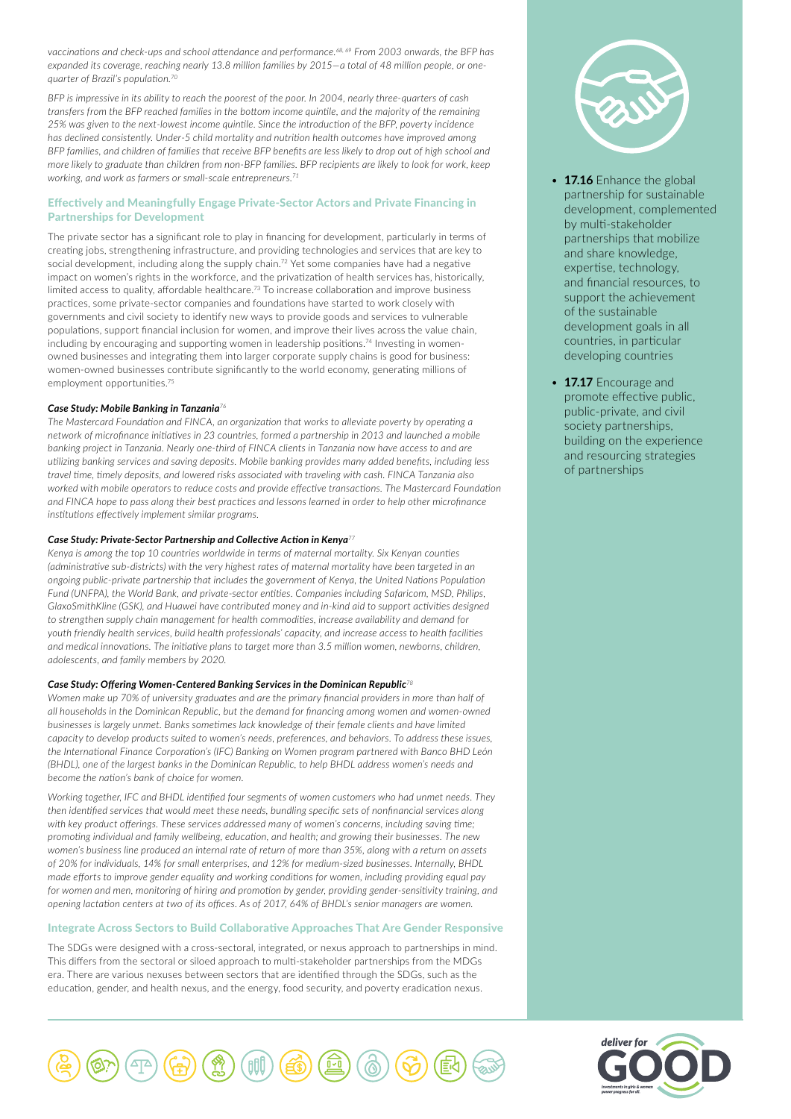*vaccinations and check-ups and school attendance and performance.68, 69 From 2003 onwards, the BFP has expanded its coverage, reaching nearly 13.8 million families by 2015—a total of 48 million people, or onequarter of Brazil's population.70*

*BFP is impressive in its ability to reach the poorest of the poor. In 2004, nearly three-quarters of cash transfers from the BFP reached families in the bottom income quintile, and the majority of the remaining 25% was given to the next-lowest income quintile. Since the introduction of the BFP, poverty incidence has declined consistently. Under-5 child mortality and nutrition health outcomes have improved among BFP families, and children of families that receive BFP benefits are less likely to drop out of high school and more likely to graduate than children from non-BFP families. BFP recipients are likely to look for work, keep working, and work as farmers or small-scale entrepreneurs.71*

## Effectively and Meaningfully Engage Private-Sector Actors and Private Financing in Partnerships for Development

The private sector has a significant role to play in financing for development, particularly in terms of creating jobs, strengthening infrastructure, and providing technologies and services that are key to social development, including along the supply chain.<sup>72</sup> Yet some companies have had a negative impact on women's rights in the workforce, and the privatization of health services has, historically, limited access to quality, affordable healthcare.73 To increase collaboration and improve business practices, some private-sector companies and foundations have started to work closely with governments and civil society to identify new ways to provide goods and services to vulnerable populations, support financial inclusion for women, and improve their lives across the value chain, including by encouraging and supporting women in leadership positions.<sup>74</sup> Investing in womenowned businesses and integrating them into larger corporate supply chains is good for business: women-owned businesses contribute significantly to the world economy, generating millions of employment opportunities.75

#### *Case Study: Mobile Banking in Tanzania<sup>76</sup>*

*The Mastercard Foundation and FINCA, an organization that works to alleviate poverty by operating a network of microfinance initiatives in 23 countries, formed a partnership in 2013 and launched a mobile banking project in Tanzania. Nearly one-third of FINCA clients in Tanzania now have access to and are utilizing banking services and saving deposits. Mobile banking provides many added benefits, including less travel time, timely deposits, and lowered risks associated with traveling with cash. FINCA Tanzania also worked with mobile operators to reduce costs and provide effective transactions. The Mastercard Foundation and FINCA hope to pass along their best practices and lessons learned in order to help other microfinance institutions effectively implement similar programs.*

#### *Case Study: Private-Sector Partnership and Collective Action in Kenya<sup>77</sup>*

*Kenya is among the top 10 countries worldwide in terms of maternal mortality. Six Kenyan counties (administrative sub-districts) with the very highest rates of maternal mortality have been targeted in an ongoing public-private partnership that includes the government of Kenya, the United Nations Population Fund (UNFPA), the World Bank, and private-sector entities. Companies including Safaricom, MSD, Philips, GlaxoSmithKline (GSK), and Huawei have contributed money and in-kind aid to support activities designed to strengthen supply chain management for health commodities, increase availability and demand for youth friendly health services, build health professionals' capacity, and increase access to health facilities and medical innovations. The initiative plans to target more than 3.5 million women, newborns, children, adolescents, and family members by 2020.*

#### *Case Study: Offering Women-Centered Banking Services in the Dominican Republic<sup>78</sup>*

*Women make up 70% of university graduates and are the primary financial providers in more than half of all households in the Dominican Republic, but the demand for financing among women and women-owned businesses is largely unmet. Banks sometimes lack knowledge of their female clients and have limited capacity to develop products suited to women's needs, preferences, and behaviors. To address these issues, the International Finance Corporation's (IFC) Banking on Women program partnered with Banco BHD León (BHDL), one of the largest banks in the Dominican Republic, to help BHDL address women's needs and become the nation's bank of choice for women.* 

*Working together, IFC and BHDL identified four segments of women customers who had unmet needs. They then identified services that would meet these needs, bundling specific sets of nonfinancial services along with key product offerings. These services addressed many of women's concerns, including saving time; promoting individual and family wellbeing, education, and health; and growing their businesses. The new women's business line produced an internal rate of return of more than 35%, along with a return on assets of 20% for individuals, 14% for small enterprises, and 12% for medium-sized businesses. Internally, BHDL made efforts to improve gender equality and working conditions for women, including providing equal pay for women and men, monitoring of hiring and promotion by gender, providing gender-sensitivity training, and opening lactation centers at two of its offices. As of 2017, 64% of BHDL's senior managers are women.* 

## Integrate Across Sectors to Build Collaborative Approaches That Are Gender Responsive

The SDGs were designed with a cross-sectoral, integrated, or nexus approach to partnerships in mind. This differs from the sectoral or siloed approach to multi-stakeholder partnerships from the MDGs era. There are various nexuses between sectors that are identified through the SDGs, such as the education, gender, and health nexus, and the energy, food security, and poverty eradication nexus.



- **17.16** Enhance the global partnership for sustainable development, complemented by multi-stakeholder partnerships that mobilize and share knowledge, expertise, technology, and financial resources, to support the achievement of the sustainable development goals in all countries, in particular developing countries
- **17.17** Encourage and promote effective public, public-private, and civil society partnerships, building on the experience and resourcing strategies of partnerships



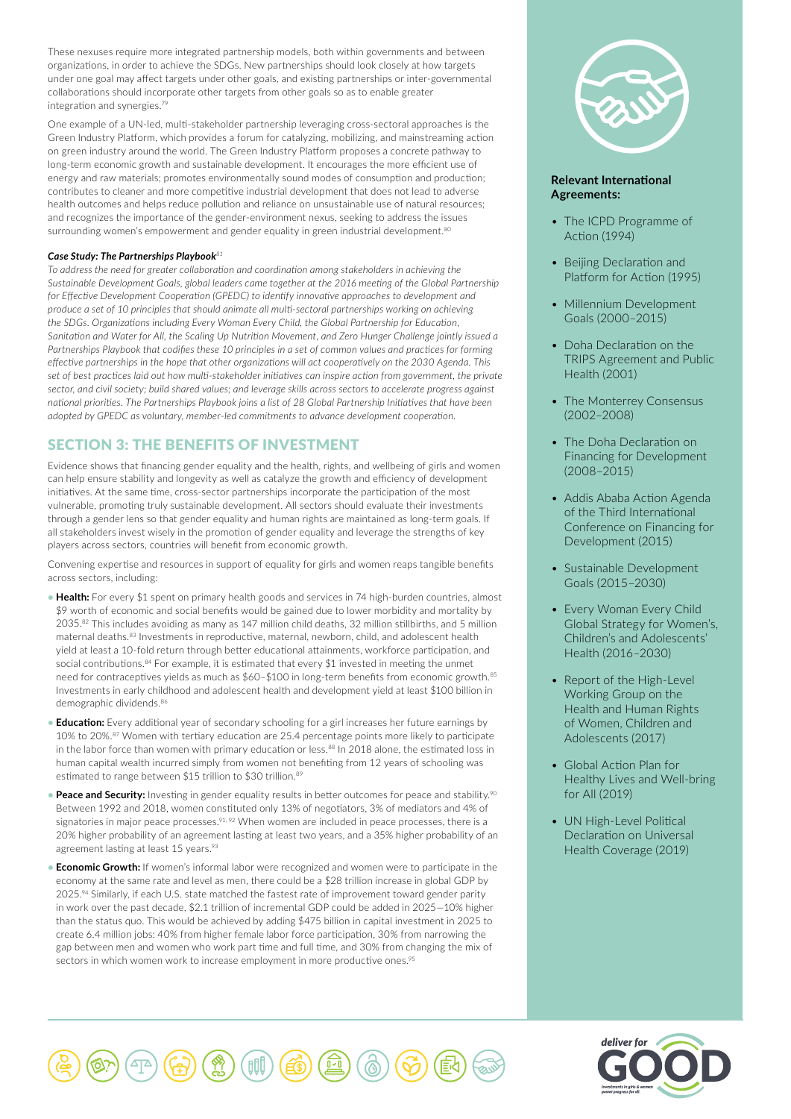These nexuses require more integrated partnership models, both within governments and between organizations, in order to achieve the SDGs. New partnerships should look closely at how targets under one goal may affect targets under other goals, and existing partnerships or inter-governmental collaborations should incorporate other targets from other goals so as to enable greater integration and synergies.<sup>79</sup>

One example of a UN-led, multi-stakeholder partnership leveraging cross-sectoral approaches is the Green Industry Platform, which provides a forum for catalyzing, mobilizing, and mainstreaming action on green industry around the world. The Green Industry Platform proposes a concrete pathway to long-term economic growth and sustainable development. It encourages the more efficient use of energy and raw materials; promotes environmentally sound modes of consumption and production; contributes to cleaner and more competitive industrial development that does not lead to adverse health outcomes and helps reduce pollution and reliance on unsustainable use of natural resources; and recognizes the importance of the gender-environment nexus, seeking to address the issues surrounding women's empowerment and gender equality in green industrial development.<sup>80</sup>

## *Case Study: The Partnerships Playbook<sup>81</sup>*

*To address the need for greater collaboration and coordination among stakeholders in achieving the Sustainable Development Goals, global leaders came together at the 2016 meeting of the Global Partnership for Effective Development Cooperation (GPEDC) to identify innovative approaches to development and produce a set of 10 principles that should animate all multi-sectoral partnerships working on achieving the SDGs. Organizations including Every Woman Every Child, the Global Partnership for Education, Sanitation and Water for All, the Scaling Up Nutrition Movement, and Zero Hunger Challenge jointly issued a Partnerships Playbook that codifies these 10 principles in a set of common values and practices for forming effective partnerships in the hope that other organizations will act cooperatively on the 2030 Agenda. This set of best practices laid out how multi-stakeholder initiatives can inspire action from government, the private sector, and civil society; build shared values; and leverage skills across sectors to accelerate progress against national priorities. The Partnerships Playbook joins a list of 28 Global Partnership Initiatives that have been adopted by GPEDC as voluntary, member-led commitments to advance development cooperation.*

## SECTION 3: THE BENEFITS OF INVESTMENT

Evidence shows that financing gender equality and the health, rights, and wellbeing of girls and women can help ensure stability and longevity as well as catalyze the growth and efficiency of development initiatives. At the same time, cross-sector partnerships incorporate the participation of the most vulnerable, promoting truly sustainable development. All sectors should evaluate their investments through a gender lens so that gender equality and human rights are maintained as long-term goals. If all stakeholders invest wisely in the promotion of gender equality and leverage the strengths of key players across sectors, countries will benefit from economic growth.

Convening expertise and resources in support of equality for girls and women reaps tangible benefits across sectors, including:

- **Health:** For every \$1 spent on primary health goods and services in 74 high-burden countries, almost \$9 worth of economic and social benefits would be gained due to lower morbidity and mortality by 2035.82 This includes avoiding as many as 147 million child deaths, 32 million stillbirths, and 5 million maternal deaths.<sup>83</sup> Investments in reproductive, maternal, newborn, child, and adolescent health yield at least a 10-fold return through better educational attainments, workforce participation, and social contributions.<sup>84</sup> For example, it is estimated that every \$1 invested in meeting the unmet need for contraceptives yields as much as \$60-\$100 in long-term benefits from economic growth.<sup>85</sup> Investments in early childhood and adolescent health and development yield at least \$100 billion in demographic dividends.<sup>86</sup>
- **Education:** Every additional year of secondary schooling for a girl increases her future earnings by 10% to 20%.87 Women with tertiary education are 25.4 percentage points more likely to participate in the labor force than women with primary education or less.<sup>88</sup> In 2018 alone, the estimated loss in human capital wealth incurred simply from women not benefiting from 12 years of schooling was estimated to range between \$15 trillion to \$30 trillion.<sup>89</sup>
- **Peace and Security:** Investing in gender equality results in better outcomes for peace and stability.<sup>90</sup> Between 1992 and 2018, women constituted only 13% of negotiators, 3% of mediators and 4% of signatories in major peace processes.<sup>91, 92</sup> When women are included in peace processes, there is a 20% higher probability of an agreement lasting at least two years, and a 35% higher probability of an agreement lasting at least 15 years.<sup>93</sup>
- **Economic Growth:** If women's informal labor were recognized and women were to participate in the economy at the same rate and level as men, there could be a \$28 trillion increase in global GDP by 2025.<sup>94</sup> Similarly, if each U.S. state matched the fastest rate of improvement toward gender parity in work over the past decade, \$2.1 trillion of incremental GDP could be added in 2025—10% higher than the status quo. This would be achieved by adding \$475 billion in capital investment in 2025 to create 6.4 million jobs: 40% from higher female labor force participation, 30% from narrowing the gap between men and women who work part time and full time, and 30% from changing the mix of sectors in which women work to increase employment in more productive ones.<sup>95</sup>



## **Relevant International Agreements:**

- The ICPD Programme of Action (1994)
- Beijing Declaration and Platform for Action (1995)
- Millennium Development Goals (2000–2015)
- Doha Declaration on the TRIPS Agreement and Public Health (2001)
- The Monterrey Consensus (2002–2008)
- The Doha Declaration on Financing for Development (2008–2015)
- Addis Ababa Action Agenda of the Third International Conference on Financing for Development (2015)
- Sustainable Development Goals (2015–2030)
- Every Woman Every Child Global Strategy for Women's, Children's and Adolescents' Health (2016–2030)
- Report of the High-Level Working Group on the Health and Human Rights of Women, Children and Adolescents (2017)
- Global Action Plan for Healthy Lives and Well-bring for All (2019)
- UN High-Level Political Declaration on Universal Health Coverage (2019)



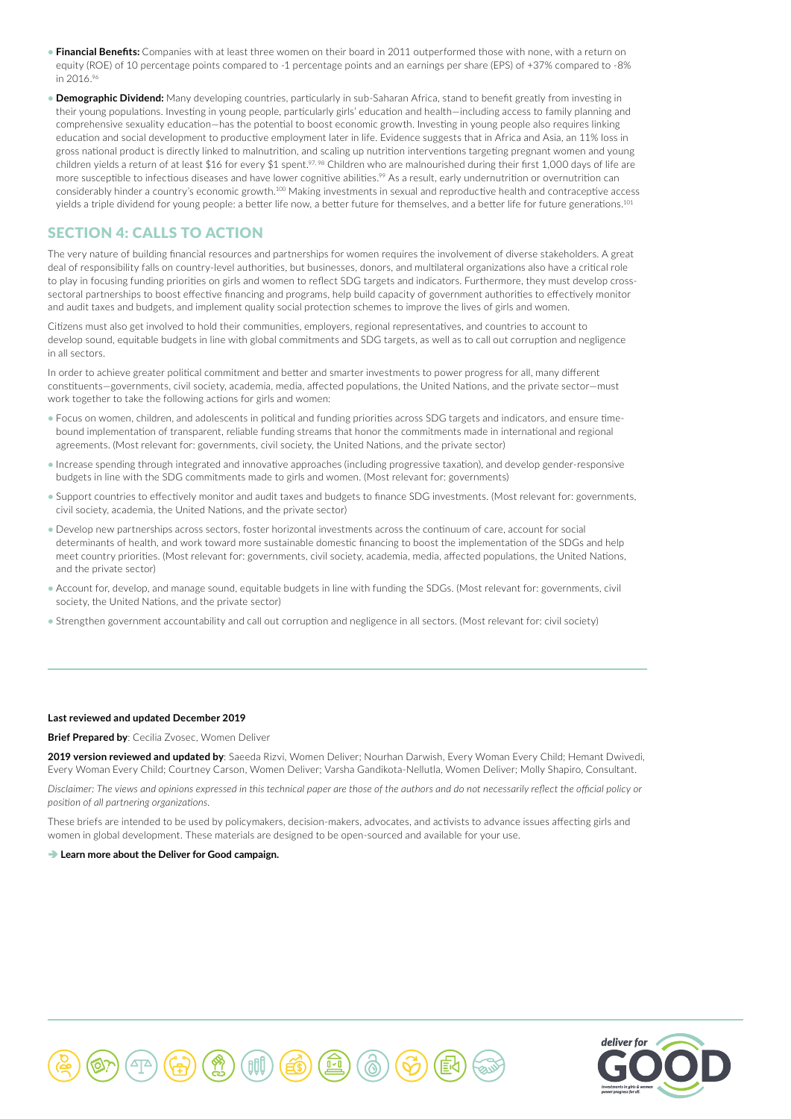- **Financial Benefits:** Companies with at least three women on their board in 2011 outperformed those with none, with a return on equity (ROE) of 10 percentage points compared to -1 percentage points and an earnings per share (EPS) of +37% compared to -8% in 2016.<sup>96</sup>
- **Demographic Dividend:** Many developing countries, particularly in sub-Saharan Africa, stand to benefit greatly from investing in their young populations. Investing in young people, particularly girls' education and health—including access to family planning and comprehensive sexuality education—has the potential to boost economic growth. Investing in young people also requires linking education and social development to productive employment later in life. Evidence suggests that in Africa and Asia, an 11% loss in gross national product is directly linked to malnutrition, and scaling up nutrition interventions targeting pregnant women and young children yields a return of at least \$16 for every \$1 spent.<sup>97, 98</sup> Children who are malnourished during their first 1,000 days of life are more susceptible to infectious diseases and have lower cognitive abilities.<sup>99</sup> As a result, early undernutrition or overnutrition can considerably hinder a country's economic growth.100 Making investments in sexual and reproductive health and contraceptive access yields a triple dividend for young people: a better life now, a better future for themselves, and a better life for future generations.<sup>101</sup>

# SECTION 4: CALLS TO ACTION

The very nature of building financial resources and partnerships for women requires the involvement of diverse stakeholders. A great deal of responsibility falls on country-level authorities, but businesses, donors, and multilateral organizations also have a critical role to play in focusing funding priorities on girls and women to reflect SDG targets and indicators. Furthermore, they must develop crosssectoral partnerships to boost effective financing and programs, help build capacity of government authorities to effectively monitor and audit taxes and budgets, and implement quality social protection schemes to improve the lives of girls and women.

Citizens must also get involved to hold their communities, employers, regional representatives, and countries to account to develop sound, equitable budgets in line with global commitments and SDG targets, as well as to call out corruption and negligence in all sectors.

In order to achieve greater political commitment and better and smarter investments to power progress for all, many different constituents—governments, civil society, academia, media, affected populations, the United Nations, and the private sector—must work together to take the following actions for girls and women:

- Focus on women, children, and adolescents in political and funding priorities across SDG targets and indicators, and ensure timebound implementation of transparent, reliable funding streams that honor the commitments made in international and regional agreements. (Most relevant for: governments, civil society, the United Nations, and the private sector)
- Increase spending through integrated and innovative approaches (including progressive taxation), and develop gender-responsive budgets in line with the SDG commitments made to girls and women. (Most relevant for: governments)
- Support countries to effectively monitor and audit taxes and budgets to finance SDG investments. (Most relevant for: governments, civil society, academia, the United Nations, and the private sector)
- Develop new partnerships across sectors, foster horizontal investments across the continuum of care, account for social determinants of health, and work toward more sustainable domestic financing to boost the implementation of the SDGs and help meet country priorities. (Most relevant for: governments, civil society, academia, media, affected populations, the United Nations, and the private sector)
- Account for, develop, and manage sound, equitable budgets in line with funding the SDGs. (Most relevant for: governments, civil society, the United Nations, and the private sector)
- Strengthen government accountability and call out corruption and negligence in all sectors. (Most relevant for: civil society)

#### **Last reviewed and updated December 2019**

#### **Brief Prepared by**: Cecilia Zvosec, Women Deliver

**2019 version reviewed and updated by**: Saeeda Rizvi, Women Deliver; Nourhan Darwish, Every Woman Every Child; Hemant Dwivedi, Every Woman Every Child; Courtney Carson, Women Deliver; Varsha Gandikota-Nellutla, Women Deliver; Molly Shapiro, Consultant.

*Disclaimer: The views and opinions expressed in this technical paper are those of the authors and do not necessarily reflect the official policy or position of all partnering organizations.*

These briefs are intended to be used by policymakers, decision-makers, advocates, and activists to advance issues affecting girls and women in global development. These materials are designed to be open-sourced and available for your use.

#### $→$  **[Learn more about the Deliver for Good campaign.](http://www.deliverforgood.org/)**



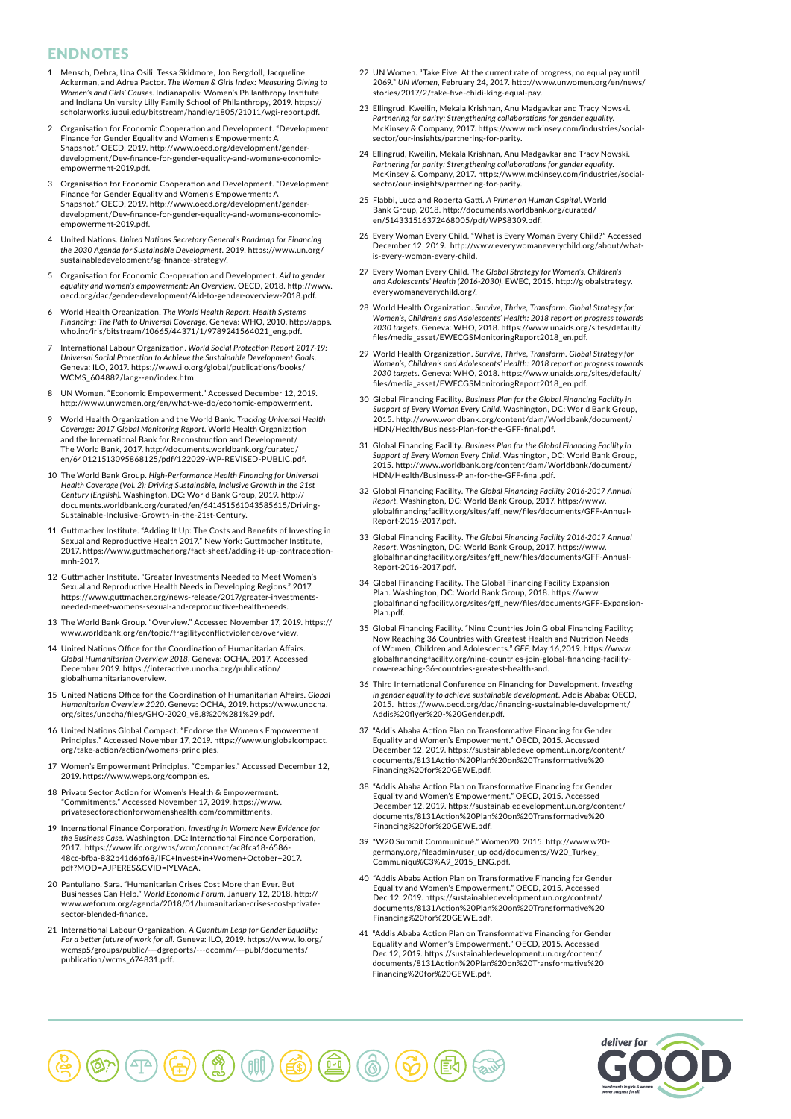## ENDNOTES

- 1 Mensch, Debra, Una Osili, Tessa Skidmore, Jon Bergdoll, Jacqueline Ackerman, and Adrea Pactor. *The Women & Girls Index: Measuring Giving to Women's and Girls' Causes*. Indianapolis: Women's Philanthropy Institute and Indiana University Lilly Family School of Philanthropy, 2019. https:// scholarworks.iupui.edu/bitstream/handle/1805/21011/wgi-report.pdf.
- 2 Organisation for Economic Cooperation and Development. "Development Finance for Gender Equality and Women's Empowerment: A Snapshot." OECD, 2019. http://www.oecd.org/development/genderdevelopment/Dev-finance-for-gender-equality-and-womens-economicempowerment-2019.pdf.
- 3 Organisation for Economic Cooperation and Development. "Development Finance for Gender Equality and Women's Empowerment: A Snapshot." OECD, 2019. http://www.oecd.org/development/genderdevelopment/Dev-finance-for-gender-equality-and-womens-economicempowerment-2019.pdf.
- 4 United Nations. *United Nations Secretary General's Roadmap for Financing the 2030 Agenda for Sustainable Development*. 2019. https://www.un.org/ sustainabledevelopment/sg-finance-strategy/.
- 5 Organisation for Economic Co-operation and Development. *Aid to gender equality and women's empowerment: An Overview*. OECD, 2018. http://www. oecd.org/dac/gender-development/Aid-to-gender-overview-2018.pdf.
- 6 World Health Organization. *The World Health Report: Health Systems Financing: The Path to Universal Coverage*. Geneva: WHO, 2010. http://apps. who.int/iris/bitstream/10665/44371/1/9789241564021\_eng.pdf.
- 7 International Labour Organization. *World Social Protection Report 2017-19: Universal Social Protection to Achieve the Sustainable Development Goals*. Geneva: ILO, 2017. https://www.ilo.org/global/publications/books/ WCMS\_604882/lang--en/index.htm.
- 8 UN Women. "Economic Empowerment." Accessed December 12, 2019. http://www.unwomen.org/en/what-we-do/economic-empowerment.
- 9 World Health Organization and the World Bank. *Tracking Universal Health Coverage: 2017 Global Monitoring Report*. World Health Organization and the International Bank for Reconstruction and Development/ The World Bank, 2017. http://documents.worldbank.org/curated/ en/640121513095868125/pdf/122029-WP-REVISED-PUBLIC.pdf.
- 10 The World Bank Group. *High-Performance Health Financing for Universal Health Coverage (Vol. 2): Driving Sustainable, Inclusive Growth in the 21st Century (English)*. Washington, DC: World Bank Group, 2019. http:// documents.worldbank.org/curated/en/641451561043585615/Driving-Sustainable-Inclusive-Growth-in-the-21st-Century.
- 11 Guttmacher Institute. "Adding It Up: The Costs and Benefits of Investing in Sexual and Reproductive Health 2017." New York: Guttmacher Institute, 2017. https://www.guttmacher.org/fact-sheet/adding-it-up-contraceptionmnh-2017.
- 12 Guttmacher Institute. "Greater Investments Needed to Meet Women's Sexual and Reproductive Health Needs in Developing Regions." 2017. https://www.guttmacher.org/news-release/2017/greater-investmentsneeded-meet-womens-sexual-and-reproductive-health-needs.
- 13 The World Bank Group. "Overview." Accessed November 17, 2019. https:// www.worldbank.org/en/topic/fragilityconflictviolence/overview.
- 14 United Nations Office for the Coordination of Humanitarian Affairs. *Global Humanitarian Overview 2018*. Geneva: OCHA, 2017. Accessed December 2019. https://interactive.unocha.org/publication/ globalhumanitarianoverview.
- 15 United Nations Office for the Coordination of Humanitarian Affairs. *Global Humanitarian Overview 2020*. Geneva: OCHA, 2019. https://www.unocha. org/sites/unocha/files/GHO-2020\_v8.8%20%281%29.pdf.
- 16 United Nations Global Compact. "Endorse the Women's Empowerment Principles." Accessed November 17, 2019. https://www.unglobalcompact. org/take-action/action/womens-principles.
- 17 Women's Empowerment Principles. "Companies." Accessed December 12, 2019. https://www.weps.org/companies.
- 18 Private Sector Action for Women's Health & Empowerment. "Commitments." Accessed November 17, 2019. https://www. privatesectoractionforwomenshealth.com/committments.
- 19 International Finance Corporation. *Investing in Women: New Evidence for the Business Case*. Washington, DC: International Finance Corporation, 2017. https://www.ifc.org/wps/wcm/connect/ac8fca18-6586- 48cc-bfba-832b41d6af68/IFC+Invest+in+Women+October+2017. pdf?MOD=AJPERES&CVID=lYLVAcA.
- 20 Pantuliano, Sara. "Humanitarian Crises Cost More than Ever. But Businesses Can Help." *World Economic Forum*, January 12, 2018. http:// www.weforum.org/agenda/2018/01/humanitarian-crises-cost-privatesector-blended-finance.
- 21 International Labour Organization. *A Quantum Leap for Gender Equality: For a better future of work for all*. Geneva: ILO, 2019. https://www.ilo.org/ wcmsp5/groups/public/---dgreports/---dcomm/---publ/documents/ publication/wcms\_674831.pdf.
- 22 UN Women. "Take Five: At the current rate of progress, no equal pay until 2069." *UN Women*, February 24, 2017. http://www.unwomen.org/en/news/ stories/2017/2/take-five-chidi-king-equal-pay.
- 23 Ellingrud, Kweilin, Mekala Krishnan, Anu Madgavkar and Tracy Nowski. *Partnering for parity: Strengthening collaborations for gender equality*. McKinsey & Company, 2017. https://www.mckinsey.com/industries/socialsector/our-insights/partnering-for-parity.
- 24 Ellingrud, Kweilin, Mekala Krishnan, Anu Madgavkar and Tracy Nowski. *Partnering for parity: Strengthening collaborations for gender equality*. McKinsey & Company, 2017. https://www.mckinsey.com/industries/socialsector/our-insights/partnering-for-parity.
- 25 Flabbi, Luca and Roberta Gatti. *A Primer on Human Capital*. World Bank Group, 2018. http://documents.worldbank.org/curated/ en/514331516372468005/pdf/WPS8309.pdf.
- 26 Every Woman Every Child. "What is Every Woman Every Child?" Accessed December 12, 2019. http://www.everywomaneverychild.org/about/whatis-every-woman-every-child.
- 27 Every Woman Every Child. *The Global Strategy for Women's, Children's and Adolescents' Health (2016-2030)*. EWEC, 2015. http://globalstrategy. everywomaneverychild.org/.
- 28 World Health Organization. *Survive, Thrive, Transform. Global Strategy for Women's, Children's and Adolescents' Health: 2018 report on progress towards 2030 targets*. Geneva: WHO, 2018. https://www.unaids.org/sites/default/ files/media\_asset/EWECGSMonitoringReport2018\_en.pdf.
- 29 World Health Organization. *Survive, Thrive, Transform. Global Strategy for Women's, Children's and Adolescents' Health: 2018 report on progress towards 2030 targets*. Geneva: WHO, 2018. https://www.unaids.org/sites/default/ files/media\_asset/EWECGSMonitoringReport2018\_en.pdf.
- 30 Global Financing Facility. *Business Plan for the Global Financing Facility in Support of Every Woman Every Child*. Washington, DC: World Bank Group, 2015. http://www.worldbank.org/content/dam/Worldbank/document/ HDN/Health/Business-Plan-for-the-GFF-final.pdf.
- 31 Global Financing Facility. *Business Plan for the Global Financing Facility in Support of Every Woman Every Child*. Washington, DC: World Bank Group, 2015. http://www.worldbank.org/content/dam/Worldbank/document/ HDN/Health/Business-Plan-for-the-GFF-final.pdf.
- 32 Global Financing Facility. *The Global Financing Facility 2016-2017 Annual Report*. Washington, DC: World Bank Group, 2017. https://www. globalfinancingfacility.org/sites/gff\_new/files/documents/GFF-Annual-Report-2016-2017.pdf.
- 33 Global Financing Facility. *The Global Financing Facility 2016-2017 Annual Report*. Washington, DC: World Bank Group, 2017. https://www. globalfinancingfacility.org/sites/gff\_new/files/documents/GFF-Annual-Report-2016-2017.pdf.
- 34 Global Financing Facility. The Global Financing Facility Expansion Plan. Washington, DC: World Bank Group, 2018. https://www. globalfinancingfacility.org/sites/gff\_new/files/documents/GFF-Expansion-Plan.pdf.
- 35 Global Financing Facility. "Nine Countries Join Global Financing Facility; Now Reaching 36 Countries with Greatest Health and Nutrition Needs of Women, Children and Adolescents." *GFF*, May 16,2019. https://www. globalfinancingfacility.org/nine-countries-join-global-financing-facilitynow-reaching-36-countries-greatest-health-and.
- 36 Third International Conference on Financing for Development. *Investing in gender equality to achieve sustainable development*. Addis Ababa: OECD, 2015. https://www.oecd.org/dac/financing-sustainable-development/ Addis%20flyer%20-%20Gender.pdf.
- "Addis Ababa Action Plan on Transformative Financing for Gender Equality and Women's Empowerment." OECD, 2015. Accessed December 12, 2019. https://sustainabledevelopment.un.org/content/ documents/8131Action%20Plan%20on%20Transformative%20 Financing%20for%20GEWE.pdf.
- 38 "Addis Ababa Action Plan on Transformative Financing for Gender Equality and Women's Empowerment." OECD, 2015. Accessed December 12, 2019. https://sustainabledevelopment.un.org/content/ documents/8131Action%20Plan%20on%20Transformative%20 Financing%20for%20GEWE.pdf.
- 39 "W20 Summit Communiqué." Women20, 2015. http://www.w20 germany.org/fileadmin/user\_upload/documents/W20\_Turkey\_ Communiqu%C3%A9\_2015\_ENG.pdf.
- 40 "Addis Ababa Action Plan on Transformative Financing for Gender Equality and Women's Empowerment." OECD, 2015. Accessed Dec 12, 2019. https://sustainabledevelopment.un.org/content/ documents/8131Action%20Plan%20on%20Transformative%20 Financing%20for%20GEWE.pdf.
- 41 "Addis Ababa Action Plan on Transformative Financing for Gender Equality and Women's Empowerment." OECD, 2015. Accessed Dec 12, 2019. https://sustainabledevelopment.un.org/content/ documents/8131Action%20Plan%20on%20Transformative%20 Financing%20for%20GEWE.pdf.

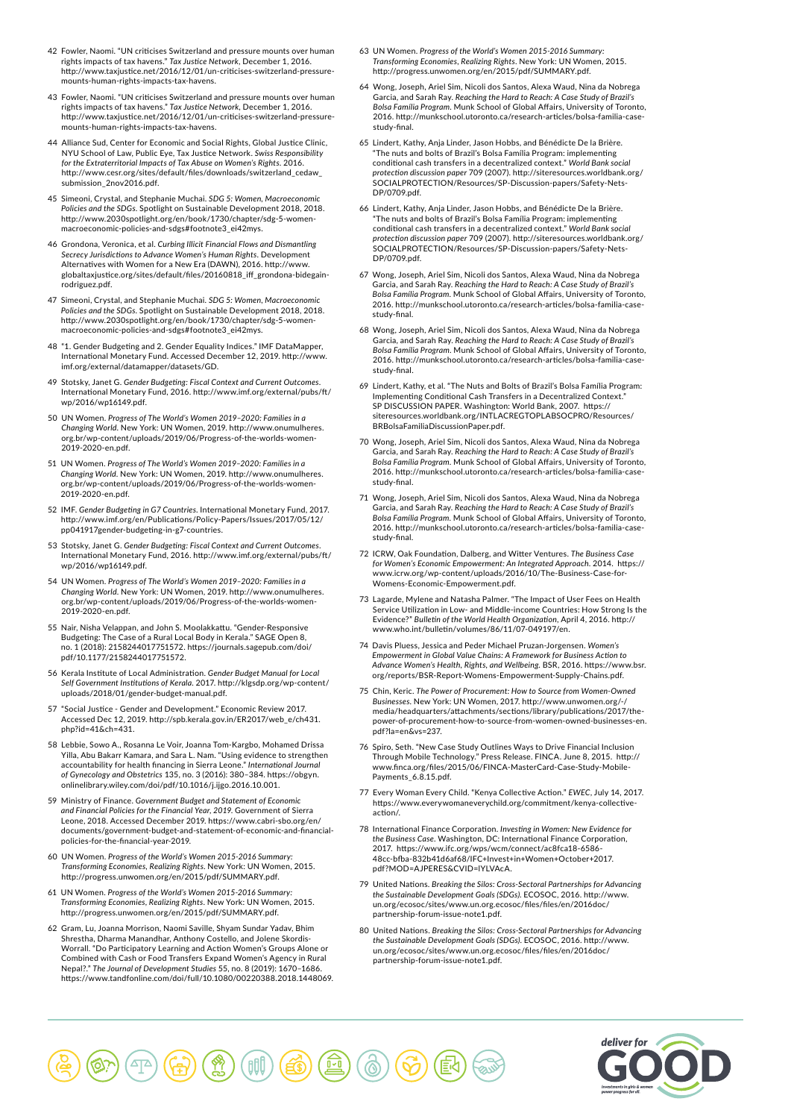- 42 Fowler, Naomi. "UN criticises Switzerland and pressure mounts over human rights impacts of tax havens." *Tax Justice Network*, December 1, 2016. http://www.taxjustice.net/2016/12/01/un-criticises-switzerland-pressuremounts-human-rights-impacts-tax-havens.
- 43 Fowler, Naomi. "UN criticises Switzerland and pressure mounts over human rights impacts of tax havens." *Tax Justice Network*, December 1, 2016. http://www.taxjustice.net/2016/12/01/un-criticises-switzerland-pressuremounts-human-rights-impacts-tax-havens.
- 44 Alliance Sud, Center for Economic and Social Rights, Global Justice Clinic, NYU School of Law, Public Eye, Tax Justice Network. *Swiss Responsibility for the Extraterritorial Impacts of Tax Abuse on Women's Rights*. 2016. http://www.cesr.org/sites/default/files/downloads/switzerland\_cedaw\_ submission\_2nov2016.pdf.
- 45 Simeoni, Crystal, and Stephanie Muchai. *SDG 5: Women, Macroeconomic Policies and the SDGs*. Spotlight on Sustainable Development 2018, 2018. http://www.2030spotlight.org/en/book/1730/chapter/sdg-5-womenmacroeconomic-policies-and-sdgs#footnote3\_ei42mys.
- 46 Grondona, Veronica, et al. *Curbing Illicit Financial Flows and Dismantling Secrecy Jurisdictions to Advance Women's Human Rights*. Development Alternatives with Women for a New Era (DAWN), 2016. http://www. globaltaxjustice.org/sites/default/files/20160818\_iff\_grondona-bidegainrodriguez.pdf.
- 47 Simeoni, Crystal, and Stephanie Muchai. *SDG 5: Women, Macroeconomic Policies and the SDGs*. Spotlight on Sustainable Development 2018, 2018. http://www.2030spotlight.org/en/book/1730/chapter/sdg-5-womenmacroeconomic-policies-and-sdgs#footnote3\_ei42mys.
- 48 "1. Gender Budgeting and 2. Gender Equality Indices." IMF DataMapper, International Monetary Fund. Accessed December 12, 2019. http://www. imf.org/external/datamapper/datasets/GD.
- 49 Stotsky, Janet G. *Gender Budgeting: Fiscal Context and Current Outcomes*. International Monetary Fund, 2016. http://www.imf.org/external/pubs/ft/ wp/2016/wp16149.pdf.
- 50 UN Women. *Progress of The World's Women 2019–2020: Families in a Changing World*. New York: UN Women, 2019. http://www.onumulheres. org.br/wp-content/uploads/2019/06/Progress-of-the-worlds-women-2019-2020-en.pdf.
- 51 UN Women. *Progress of The World's Women 2019–2020: Families in a Changing World*. New York: UN Women, 2019. http://www.onumulheres. org.br/wp-content/uploads/2019/06/Progress-of-the-worlds-women-2019-2020-en.pdf.
- 52 IMF. *Gender Budgeting in G7 Countries*. International Monetary Fund, 2017. http://www.imf.org/en/Publications/Policy-Papers/Issues/2017/05/12/ pp041917gender-budgeting-in-g7-countries.
- 53 Stotsky, Janet G. *Gender Budgeting: Fiscal Context and Current Outcomes*. International Monetary Fund, 2016. http://www.imf.org/external/pubs/ft/ wp/2016/wp16149.pdf.
- 54 UN Women. *Progress of The World's Women 2019–2020: Families in a Changing World*. New York: UN Women, 2019. http://www.onumulheres. org.br/wp-content/uploads/2019/06/Progress-of-the-worlds-women-2019-2020-en.pdf.
- 55 Nair, Nisha Velappan, and John S. Moolakkattu. "Gender-Responsive Budgeting: The Case of a Rural Local Body in Kerala." SAGE Open 8, no. 1 (2018): 2158244017751572. https://journals.sagepub.com/doi/ pdf/10.1177/2158244017751572.
- 56 Kerala Institute of Local Administration. *Gender Budget Manual for Local Self Government Institutions of Kerala*. 2017. http://klgsdp.org/wp-content/ uploads/2018/01/gender-budget-manual.pdf.
- 57 "Social Justice Gender and Development." Economic Review 2017. Accessed Dec 12, 2019. http://spb.kerala.gov.in/ER2017/web\_e/ch431. php?id=41&ch=431.
- 58 Lebbie, Sowo A., Rosanna Le Voir, Joanna Tom-Kargbo, Mohamed Drissa Yilla, Abu Bakarr Kamara, and Sara L. Nam. "Using evidence to strengthen accountability for health financing in Sierra Leone." *International Journal of Gynecology and Obstetrics* 135, no. 3 (2016): 380–384. https://obgyn. onlinelibrary.wiley.com/doi/pdf/10.1016/j.ijgo.2016.10.001.
- 59 Ministry of Finance. *Government Budget and Statement of Economic and Financial Policies for the Financial Year, 2019*. Government of Sierra Leone, 2018. Accessed December 2019. https://www.cabri-sbo.org/en/ documents/government-budget-and-statement-of-economic-and-financialpolicies-for-the-financial-year-2019.
- 60 UN Women. *Progress of the World's Women 2015-2016 Summary: Transforming Economies, Realizing Rights*. New York: UN Women, 2015. http://progress.unwomen.org/en/2015/pdf/SUMMARY.pdf.
- 61 UN Women. *Progress of the World's Women 2015-2016 Summary: Transforming Economies, Realizing Rights*. New York: UN Women, 2015. http://progress.unwomen.org/en/2015/pdf/SUMMARY.pdf.
- 62 Gram, Lu, Joanna Morrison, Naomi Saville, Shyam Sundar Yadav, Bhim Shrestha, Dharma Manandhar, Anthony Costello, and Jolene Skordis-Worrall. "Do Participatory Learning and Action Women's Groups Alone or Combined with Cash or Food Transfers Expand Women's Agency in Rural Nepal?." *The Journal of Development Studies* 55, no. 8 (2019): 1670–1686. https://www.tandfonline.com/doi/full/10.1080/00220388.2018.1448069.
- 63 UN Women. *Progress of the World's Women 2015-2016 Summary: Transforming Economies, Realizing Rights*. New York: UN Women, 2015. http://progress.unwomen.org/en/2015/pdf/SUMMARY.pdf.
- 64 Wong, Joseph, Ariel Sim, Nicoli dos Santos, Alexa Waud, Nina da Nobrega Garcia, and Sarah Ray. *Reaching the Hard to Reach: A Case Study of Brazil's Bolsa Família Program*. Munk School of Global Affairs, University of Toronto, 2016. http://munkschool.utoronto.ca/research-articles/bolsa-familia-casestudy-final.
- 65 Lindert, Kathy, Anja Linder, Jason Hobbs, and Bénédicte De la Brière. "The nuts and bolts of Brazil's Bolsa Família Program: implementing conditional cash transfers in a decentralized context." *World Bank social protection discussion paper* 709 (2007). http://siteresources.worldbank.org/ SOCIALPROTECTION/Resources/SP-Discussion-papers/Safety-Nets-DP/0709.pdf.
- 66 Lindert, Kathy, Anja Linder, Jason Hobbs, and Bénédicte De la Brière. "The nuts and bolts of Brazil's Bolsa Família Program: implementing conditional cash transfers in a decentralized context." *World Bank social protection discussion paper* 709 (2007). http://siteresources.worldbank.org/ SOCIALPROTECTION/Resources/SP-Discussion-papers/Safety-Nets-DP/0709.pdf.
- 67 Wong, Joseph, Ariel Sim, Nicoli dos Santos, Alexa Waud, Nina da Nobrega Garcia, and Sarah Ray. *Reaching the Hard to Reach: A Case Study of Brazil's Bolsa Família Program*. Munk School of Global Affairs, University of Toronto, 2016. http://munkschool.utoronto.ca/research-articles/bolsa-familia-casestudy-final.
- 68 Wong, Joseph, Ariel Sim, Nicoli dos Santos, Alexa Waud, Nina da Nobrega Garcia, and Sarah Ray. *Reaching the Hard to Reach: A Case Study of Brazil's Bolsa Família Program*. Munk School of Global Affairs, University of Toronto, 2016. http://munkschool.utoronto.ca/research-articles/bolsa-familia-casestudy-final.
- 69 Lindert, Kathy, et al. "The Nuts and Bolts of Brazil's Bolsa Família Program: Implementing Conditional Cash Transfers in a Decentralized Context. SP DISCUSSION PAPER. Washington: World Bank, 2007. https:// siteresources.worldbank.org/INTLACREGTOPLABSOCPRO/Resources/ BRBolsaFamiliaDiscussionPaper.pdf.
- 70 Wong, Joseph, Ariel Sim, Nicoli dos Santos, Alexa Waud, Nina da Nobrega Garcia, and Sarah Ray. *Reaching the Hard to Reach: A Case Study of Brazil's Bolsa Família Program*. Munk School of Global Affairs, University of Toronto, 2016. http://munkschool.utoronto.ca/research-articles/bolsa-familia-casestudy-final.
- 71 Wong, Joseph, Ariel Sim, Nicoli dos Santos, Alexa Waud, Nina da Nobrega Garcia, and Sarah Ray. *Reaching the Hard to Reach: A Case Study of Brazil's Bolsa Família Program*. Munk School of Global Affairs, University of Toronto, 2016. http://munkschool.utoronto.ca/research-articles/bolsa-familia-casestudy-final.
- 72 ICRW, Oak Foundation, Dalberg, and Witter Ventures. *The Business Case for Women's Economic Empowerment: An Integrated Approach*. 2014. https:// www.icrw.org/wp-content/uploads/2016/10/The-Business-Case-for-Womens-Economic-Empowerment.pdf.
- 73 Lagarde, Mylene and Natasha Palmer. "The Impact of User Fees on Health Service Utilization in Low- and Middle-income Countries: How Strong Is the Evidence?" *Bulletin of the World Health Organization*, April 4, 2016. http:// www.who.int/bulletin/volumes/86/11/07-049197/en.
- 74 Davis Pluess, Jessica and Peder Michael Pruzan-Jorgensen. *Women's Empowerment in Global Value Chains: A Framework for Business Action to Advance Women's Health, Rights, and Wellbeing*. BSR, 2016. https://www.bsr. org/reports/BSR-Report-Womens-Empowerment-Supply-Chains.pdf.
- 75 Chin, Keric. *The Power of Procurement: How to Source from Women-Owned*  Businesses. New York: UN Women, 2017. http://www.unwomen.org/media/headquarters/attachments/sections/library/publications/2017/thepower-of-procurement-how-to-source-from-women-owned-businesses-en. pdf?la=en&vs=237.
- 76 Spiro, Seth. "New Case Study Outlines Ways to Drive Financial Inclusion Through Mobile Technology." Press Release. FINCA. June 8, 2015. http:// www.finca.org/files/2015/06/FINCA-MasterCard-Case-Study-Mobile-Payments\_6.8.15.pdf.
- 77 Every Woman Every Child. "Kenya Collective Action." *EWEC*, July 14, 2017. https://www.everywomaneverychild.org/commitment/kenya-collectiveaction/.
- 78 International Finance Corporation. *Investing in Women: New Evidence for the Business Case*. Washington, DC: International Finance Corporation, 2017. https://www.ifc.org/wps/wcm/connect/ac8fca18-6586- 48cc-bfba-832b41d6af68/IFC+Invest+in+Women+October+2017. pdf?MOD=AJPERES&CVID=lYLVAcA.
- 79 United Nations. *Breaking the Silos: Cross-Sectoral Partnerships for Advancing the Sustainable Development Goals (SDGs)*. ECOSOC, 2016. http://www. un.org/ecosoc/sites/www.un.org.ecosoc/files/files/en/2016doc/ partnership-forum-issue-note1.pdf.
- 80 United Nations. *Breaking the Silos: Cross-Sectoral Partnerships for Advancing the Sustainable Development Goals (SDGs)*. ECOSOC, 2016. http://www. un.org/ecosoc/sites/www.un.org.ecosoc/files/files/en/2016doc/ partnership-forum-issue-note1.pdf.